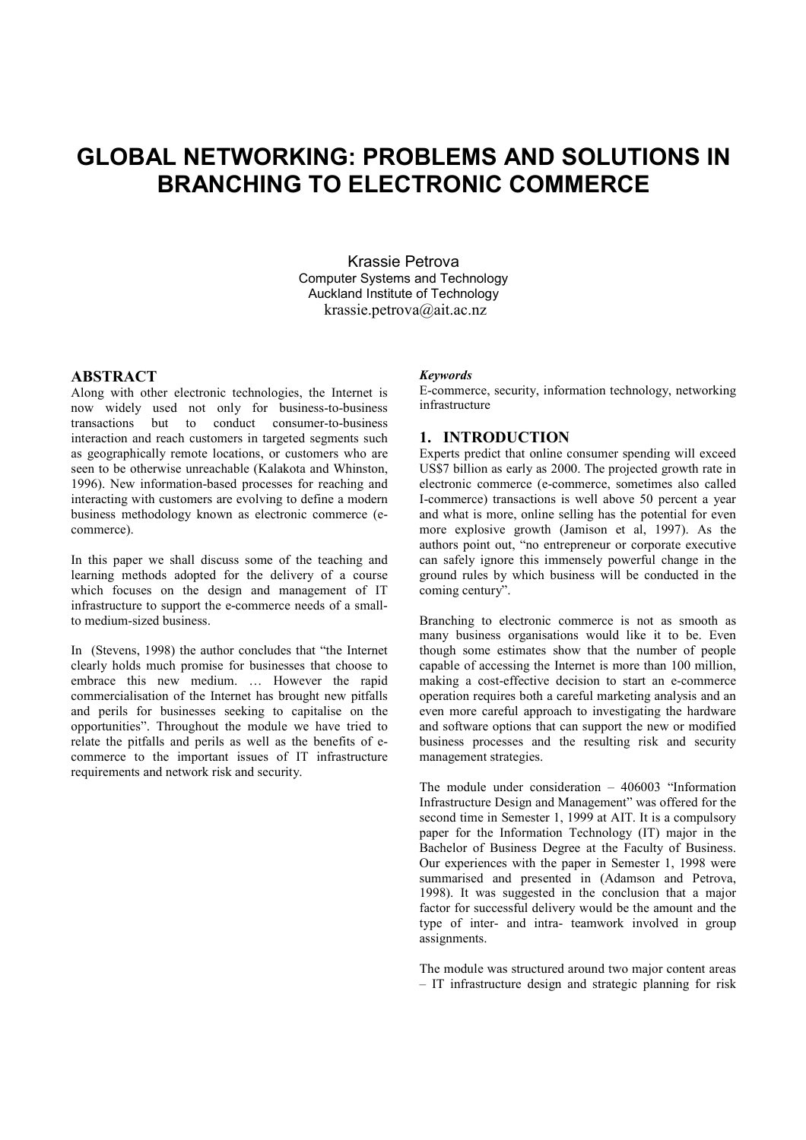# GLOBAL NETWORKING: PROBLEMS AND SOLUTIONS IN BRANCHING TO ELECTRONIC COMMERCE

Krassie Petrova Computer Systems and Technology Auckland Institute of Technology krassie.petrova@ait.ac.nz

# ABSTRACT

Along with other electronic technologies, the Internet is now widely used not only for business-to-business transactions but to conduct consumer-to-business interaction and reach customers in targeted segments such as geographically remote locations, or customers who are seen to be otherwise unreachable (Kalakota and Whinston, 1996). New information-based processes for reaching and interacting with customers are evolving to define a modern business methodology known as electronic commerce (ecommerce).

In this paper we shall discuss some of the teaching and learning methods adopted for the delivery of a course which focuses on the design and management of IT infrastructure to support the e-commerce needs of a smallto medium-sized business.

In (Stevens, 1998) the author concludes that "the Internet clearly holds much promise for businesses that choose to embrace this new medium. … However the rapid commercialisation of the Internet has brought new pitfalls and perils for businesses seeking to capitalise on the opportunities". Throughout the module we have tried to relate the pitfalls and perils as well as the benefits of ecommerce to the important issues of IT infrastructure requirements and network risk and security.

# Keywords

E-commerce, security, information technology, networking infrastructure

# 1. INTRODUCTION

Experts predict that online consumer spending will exceed US\$7 billion as early as 2000. The projected growth rate in electronic commerce (e-commerce, sometimes also called I-commerce) transactions is well above 50 percent a year and what is more, online selling has the potential for even more explosive growth (Jamison et al, 1997). As the authors point out, "no entrepreneur or corporate executive can safely ignore this immensely powerful change in the ground rules by which business will be conducted in the coming century".

Branching to electronic commerce is not as smooth as many business organisations would like it to be. Even though some estimates show that the number of people capable of accessing the Internet is more than 100 million, making a cost-effective decision to start an e-commerce operation requires both a careful marketing analysis and an even more careful approach to investigating the hardware and software options that can support the new or modified business processes and the resulting risk and security management strategies.

The module under consideration – 406003 "Information Infrastructure Design and Management" was offered for the second time in Semester 1, 1999 at AIT. It is a compulsory paper for the Information Technology (IT) major in the Bachelor of Business Degree at the Faculty of Business. Our experiences with the paper in Semester 1, 1998 were summarised and presented in (Adamson and Petrova, 1998). It was suggested in the conclusion that a major factor for successful delivery would be the amount and the type of inter- and intra- teamwork involved in group assignments.

The module was structured around two major content areas – IT infrastructure design and strategic planning for risk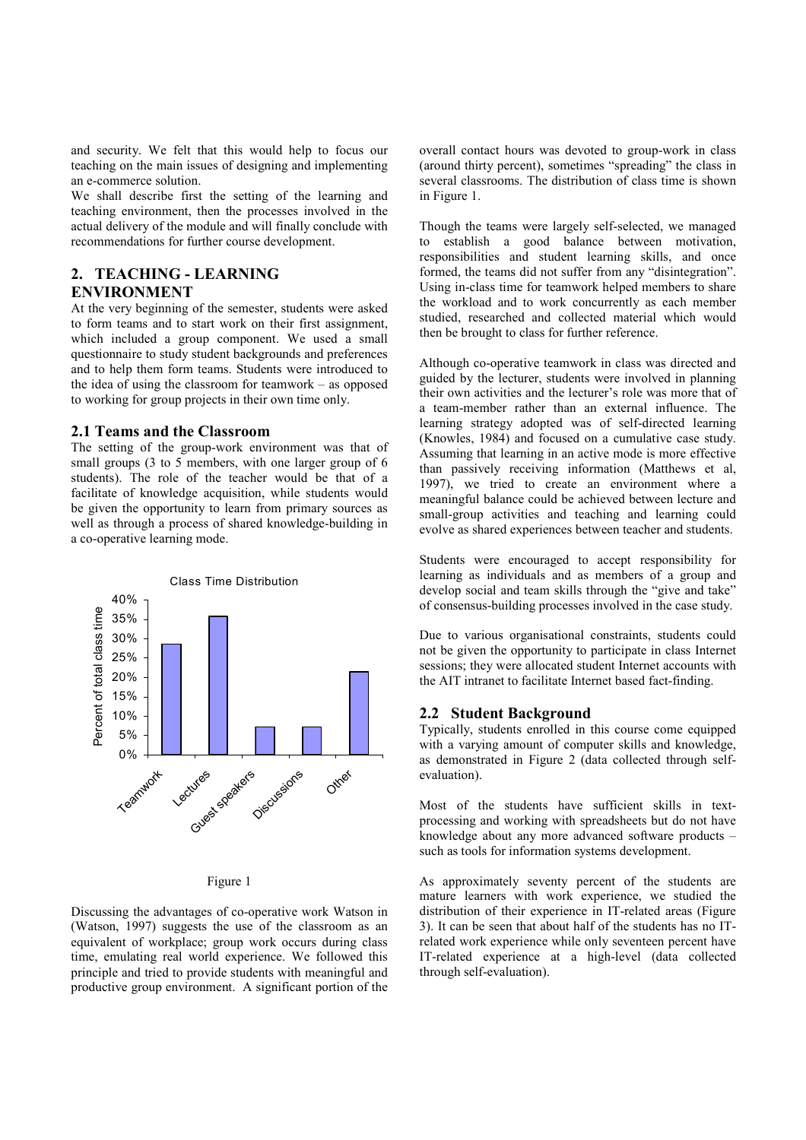and security. We felt that this would help to focus our teaching on the main issues of designing and implementing an e-commerce solution.

We shall describe first the setting of the learning and teaching environment, then the processes involved in the actual delivery of the module and will finally conclude with recommendations for further course development.

# 2. TEACHING - LEARNING ENVIRONMENT

At the very beginning of the semester, students were asked to form teams and to start work on their first assignment, which included a group component. We used a small questionnaire to study student backgrounds and preferences and to help them form teams. Students were introduced to the idea of using the classroom for teamwork – as opposed to working for group projects in their own time only.

# 2.1 Teams and the Classroom

The setting of the group-work environment was that of small groups (3 to 5 members, with one larger group of 6 students). The role of the teacher would be that of a facilitate of knowledge acquisition, while students would be given the opportunity to learn from primary sources as well as through a process of shared knowledge-building in a co-operative learning mode.



Figure 1

Discussing the advantages of co-operative work Watson in (Watson, 1997) suggests the use of the classroom as an equivalent of workplace; group work occurs during class time, emulating real world experience. We followed this principle and tried to provide students with meaningful and productive group environment. A significant portion of the overall contact hours was devoted to group-work in class (around thirty percent), sometimes "spreading" the class in several classrooms. The distribution of class time is shown in Figure 1.

Though the teams were largely self-selected, we managed to establish a good balance between motivation, responsibilities and student learning skills, and once formed, the teams did not suffer from any "disintegration". Using in-class time for teamwork helped members to share the workload and to work concurrently as each member studied, researched and collected material which would then be brought to class for further reference.

Although co-operative teamwork in class was directed and guided by the lecturer, students were involved in planning their own activities and the lecturer's role was more that of a team-member rather than an external influence. The learning strategy adopted was of self-directed learning (Knowles, 1984) and focused on a cumulative case study. Assuming that learning in an active mode is more effective than passively receiving information (Matthews et al, 1997), we tried to create an environment where a meaningful balance could be achieved between lecture and small-group activities and teaching and learning could evolve as shared experiences between teacher and students.

Students were encouraged to accept responsibility for learning as individuals and as members of a group and develop social and team skills through the "give and take" of consensus-building processes involved in the case study.

Due to various organisational constraints, students could not be given the opportunity to participate in class Internet sessions; they were allocated student Internet accounts with the AIT intranet to facilitate Internet based fact-finding.

# 2.2 Student Background

Typically, students enrolled in this course come equipped with a varying amount of computer skills and knowledge, as demonstrated in Figure 2 (data collected through selfevaluation).

Most of the students have sufficient skills in textprocessing and working with spreadsheets but do not have knowledge about any more advanced software products – such as tools for information systems development.

As approximately seventy percent of the students are mature learners with work experience, we studied the distribution of their experience in IT-related areas (Figure 3). It can be seen that about half of the students has no ITrelated work experience while only seventeen percent have IT-related experience at a high-level (data collected through self-evaluation).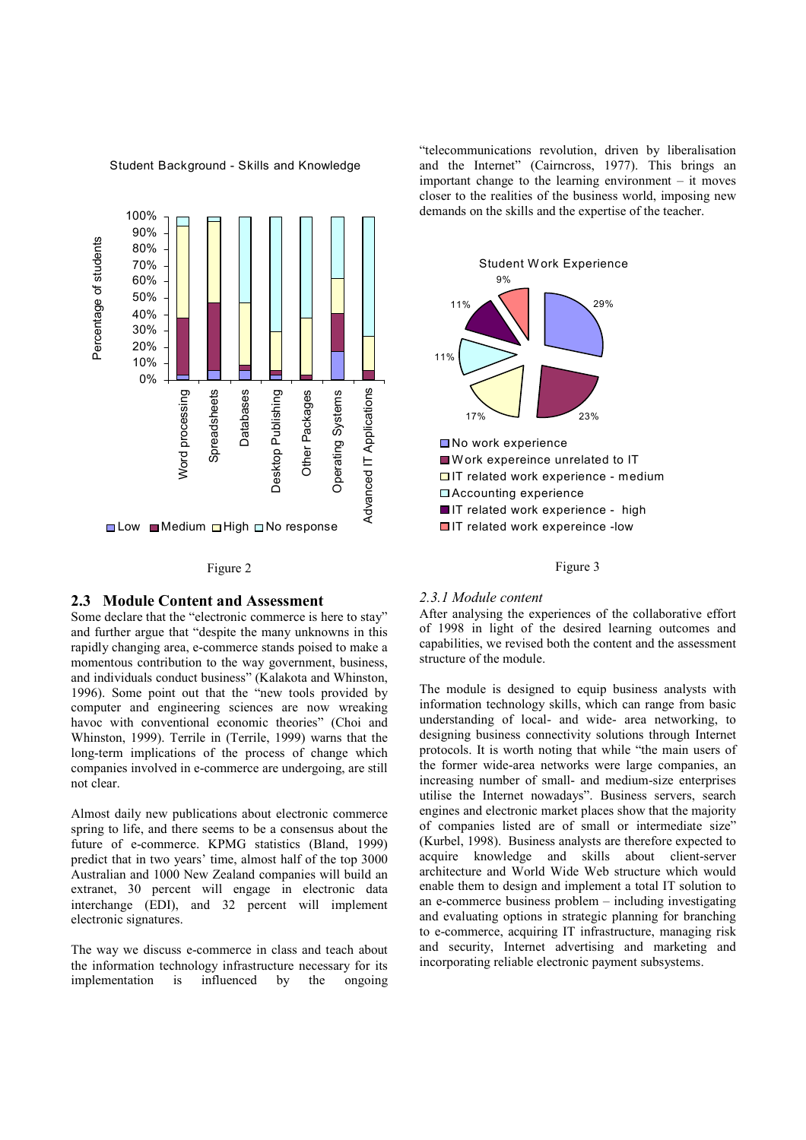

### Student Background - Skills and Knowledge

### Figure 2

# 2.3 Module Content and Assessment

Some declare that the "electronic commerce is here to stay" and further argue that "despite the many unknowns in this rapidly changing area, e-commerce stands poised to make a momentous contribution to the way government, business, and individuals conduct business" (Kalakota and Whinston, 1996). Some point out that the "new tools provided by computer and engineering sciences are now wreaking havoc with conventional economic theories" (Choi and Whinston, 1999). Terrile in (Terrile, 1999) warns that the long-term implications of the process of change which companies involved in e-commerce are undergoing, are still not clear.

Almost daily new publications about electronic commerce spring to life, and there seems to be a consensus about the future of e-commerce. KPMG statistics (Bland, 1999) predict that in two years' time, almost half of the top 3000 Australian and 1000 New Zealand companies will build an extranet, 30 percent will engage in electronic data interchange (EDI), and 32 percent will implement electronic signatures.

The way we discuss e-commerce in class and teach about the information technology infrastructure necessary for its implementation is influenced by the ongoing "telecommunications revolution, driven by liberalisation and the Internet" (Cairncross, 1977). This brings an important change to the learning environment – it moves closer to the realities of the business world, imposing new demands on the skills and the expertise of the teacher.



#### Figure 3

#### 2.3.1 Module content

After analysing the experiences of the collaborative effort of 1998 in light of the desired learning outcomes and capabilities, we revised both the content and the assessment structure of the module.

The module is designed to equip business analysts with information technology skills, which can range from basic understanding of local- and wide- area networking, to designing business connectivity solutions through Internet protocols. It is worth noting that while "the main users of the former wide-area networks were large companies, an increasing number of small- and medium-size enterprises utilise the Internet nowadays". Business servers, search engines and electronic market places show that the majority of companies listed are of small or intermediate size" (Kurbel, 1998). Business analysts are therefore expected to acquire knowledge and skills about client-server architecture and World Wide Web structure which would enable them to design and implement a total IT solution to an e-commerce business problem – including investigating and evaluating options in strategic planning for branching to e-commerce, acquiring IT infrastructure, managing risk and security, Internet advertising and marketing and incorporating reliable electronic payment subsystems.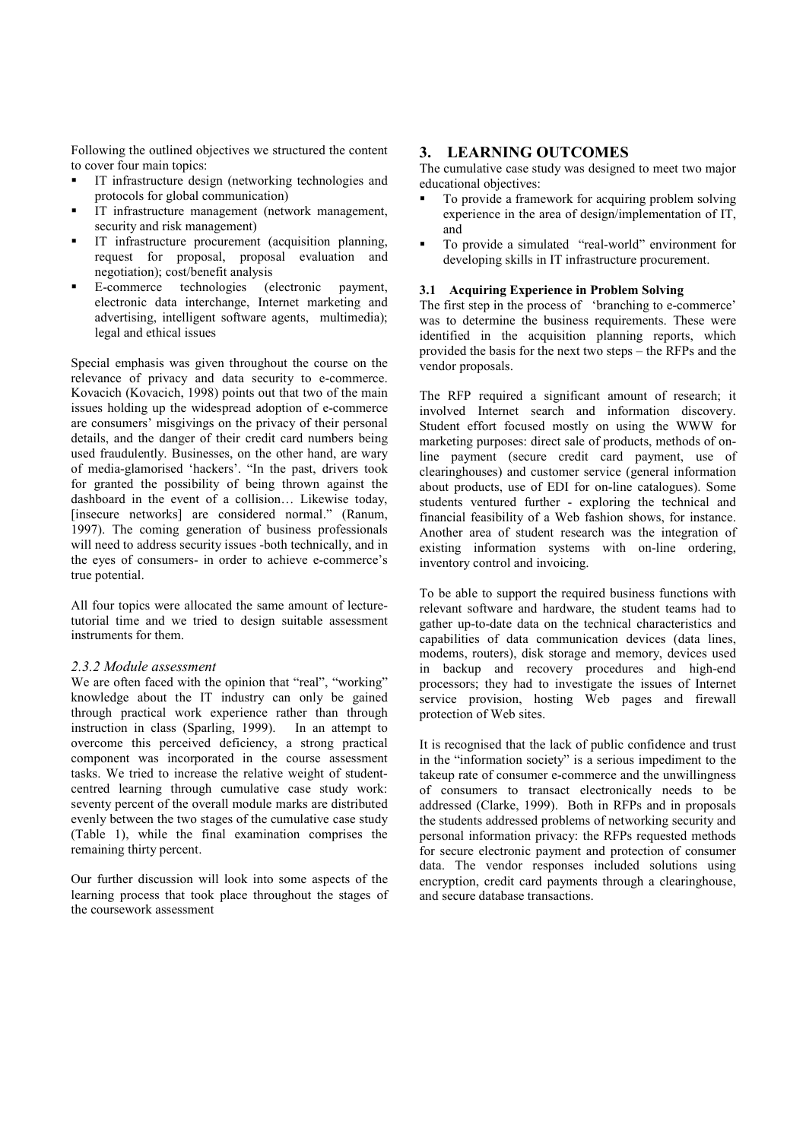Following the outlined objectives we structured the content to cover four main topics:

- IT infrastructure design (networking technologies and protocols for global communication)
- IT infrastructure management (network management, security and risk management)
- IT infrastructure procurement (acquisition planning, request for proposal, proposal evaluation and negotiation); cost/benefit analysis
- E-commerce technologies (electronic payment, electronic data interchange, Internet marketing and advertising, intelligent software agents, multimedia); legal and ethical issues

Special emphasis was given throughout the course on the relevance of privacy and data security to e-commerce. Kovacich (Kovacich, 1998) points out that two of the main issues holding up the widespread adoption of e-commerce are consumers' misgivings on the privacy of their personal details, and the danger of their credit card numbers being used fraudulently. Businesses, on the other hand, are wary of media-glamorised 'hackers'. "In the past, drivers took for granted the possibility of being thrown against the dashboard in the event of a collision… Likewise today, [insecure networks] are considered normal." (Ranum, 1997). The coming generation of business professionals will need to address security issues -both technically, and in the eyes of consumers- in order to achieve e-commerce's true potential.

All four topics were allocated the same amount of lecturetutorial time and we tried to design suitable assessment instruments for them.

### 2.3.2 Module assessment

We are often faced with the opinion that "real", "working" knowledge about the IT industry can only be gained through practical work experience rather than through instruction in class (Sparling, 1999). In an attempt to overcome this perceived deficiency, a strong practical component was incorporated in the course assessment tasks. We tried to increase the relative weight of studentcentred learning through cumulative case study work: seventy percent of the overall module marks are distributed evenly between the two stages of the cumulative case study (Table 1), while the final examination comprises the remaining thirty percent.

Our further discussion will look into some aspects of the learning process that took place throughout the stages of the coursework assessment

# 3. LEARNING OUTCOMES

The cumulative case study was designed to meet two major educational objectives:

- To provide a framework for acquiring problem solving experience in the area of design/implementation of IT, and
- To provide a simulated "real-world" environment for developing skills in IT infrastructure procurement.

## 3.1 Acquiring Experience in Problem Solving

The first step in the process of 'branching to e-commerce' was to determine the business requirements. These were identified in the acquisition planning reports, which provided the basis for the next two steps – the RFPs and the vendor proposals.

The RFP required a significant amount of research; it involved Internet search and information discovery. Student effort focused mostly on using the WWW for marketing purposes: direct sale of products, methods of online payment (secure credit card payment, use of clearinghouses) and customer service (general information about products, use of EDI for on-line catalogues). Some students ventured further - exploring the technical and financial feasibility of a Web fashion shows, for instance. Another area of student research was the integration of existing information systems with on-line ordering, inventory control and invoicing.

To be able to support the required business functions with relevant software and hardware, the student teams had to gather up-to-date data on the technical characteristics and capabilities of data communication devices (data lines, modems, routers), disk storage and memory, devices used in backup and recovery procedures and high-end processors; they had to investigate the issues of Internet service provision, hosting Web pages and firewall protection of Web sites.

It is recognised that the lack of public confidence and trust in the "information society" is a serious impediment to the takeup rate of consumer e-commerce and the unwillingness of consumers to transact electronically needs to be addressed (Clarke, 1999). Both in RFPs and in proposals the students addressed problems of networking security and personal information privacy: the RFPs requested methods for secure electronic payment and protection of consumer data. The vendor responses included solutions using encryption, credit card payments through a clearinghouse, and secure database transactions.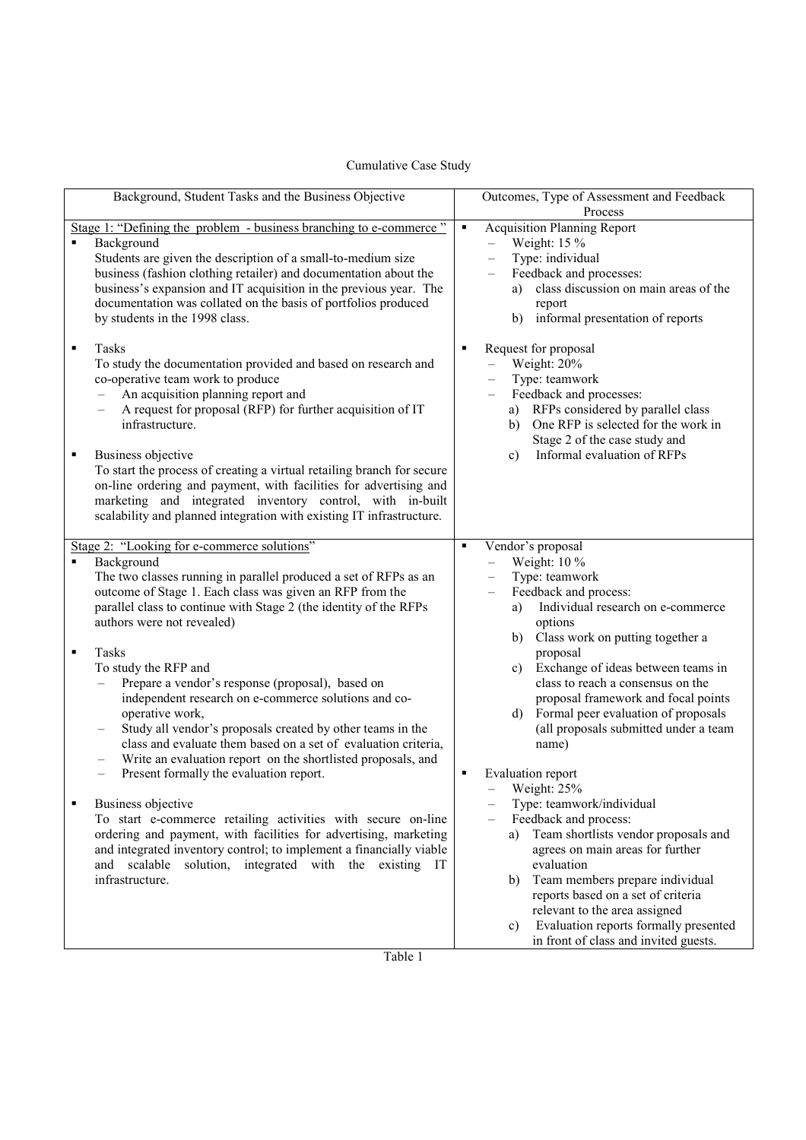| Cumulative Case Study                                |                                                      |  |
|------------------------------------------------------|------------------------------------------------------|--|
| Background, Student Tasks and the Business Objective | Outcomes, Type of Assessment and Feedback<br>Process |  |

| Background, Student Tasks and the Business Objective                                                                                                                                                                                                                                                                                                                                                                                                                                                                                                                                                                                                                                                                                                                                                                                                                                                                                                                                                                                                                                     | Outcomes, Type of Assessment and Feedback                                                                                                                                                                                                                                                                                                                                                                                                                                                                                                                                                                                                                                                                                                |
|------------------------------------------------------------------------------------------------------------------------------------------------------------------------------------------------------------------------------------------------------------------------------------------------------------------------------------------------------------------------------------------------------------------------------------------------------------------------------------------------------------------------------------------------------------------------------------------------------------------------------------------------------------------------------------------------------------------------------------------------------------------------------------------------------------------------------------------------------------------------------------------------------------------------------------------------------------------------------------------------------------------------------------------------------------------------------------------|------------------------------------------------------------------------------------------------------------------------------------------------------------------------------------------------------------------------------------------------------------------------------------------------------------------------------------------------------------------------------------------------------------------------------------------------------------------------------------------------------------------------------------------------------------------------------------------------------------------------------------------------------------------------------------------------------------------------------------------|
| Stage 1: "Defining the problem - business branching to e-commerce"                                                                                                                                                                                                                                                                                                                                                                                                                                                                                                                                                                                                                                                                                                                                                                                                                                                                                                                                                                                                                       | Process<br><b>Acquisition Planning Report</b><br>$\blacksquare$                                                                                                                                                                                                                                                                                                                                                                                                                                                                                                                                                                                                                                                                          |
| $\blacksquare$<br>Background<br>Students are given the description of a small-to-medium size<br>business (fashion clothing retailer) and documentation about the<br>business's expansion and IT acquisition in the previous year. The<br>documentation was collated on the basis of portfolios produced<br>by students in the 1998 class.                                                                                                                                                                                                                                                                                                                                                                                                                                                                                                                                                                                                                                                                                                                                                | Weight: 15 %<br>$\equiv$<br>Type: individual<br>Feedback and processes:<br>class discussion on main areas of the<br>a)<br>report<br>informal presentation of reports<br>b)                                                                                                                                                                                                                                                                                                                                                                                                                                                                                                                                                               |
| $\blacksquare$<br>Tasks<br>To study the documentation provided and based on research and<br>co-operative team work to produce<br>An acquisition planning report and<br>$\equiv$<br>A request for proposal (RFP) for further acquisition of IT<br>$\overline{\phantom{0}}$<br>infrastructure.<br>$\blacksquare$<br>Business objective<br>To start the process of creating a virtual retailing branch for secure<br>on-line ordering and payment, with facilities for advertising and<br>marketing and integrated inventory control, with in-built<br>scalability and planned integration with existing IT infrastructure.                                                                                                                                                                                                                                                                                                                                                                                                                                                                 | Request for proposal<br>٠<br>Weight: 20%<br>$\equiv$<br>Type: teamwork<br>Feedback and processes:<br>RFPs considered by parallel class<br>a)<br>One RFP is selected for the work in<br>b)<br>Stage 2 of the case study and<br>Informal evaluation of RFPs<br>$\mathbf{c}$ )                                                                                                                                                                                                                                                                                                                                                                                                                                                              |
| Stage 2: "Looking for e-commerce solutions"<br>Background<br>$\blacksquare$<br>The two classes running in parallel produced a set of RFPs as an<br>outcome of Stage 1. Each class was given an RFP from the<br>parallel class to continue with Stage 2 (the identity of the RFPs<br>authors were not revealed)<br>Tasks<br>$\blacksquare$<br>To study the RFP and<br>Prepare a vendor's response (proposal), based on<br>independent research on e-commerce solutions and co-<br>operative work,<br>Study all vendor's proposals created by other teams in the<br>class and evaluate them based on a set of evaluation criteria,<br>Write an evaluation report on the shortlisted proposals, and<br>Present formally the evaluation report.<br>$\overline{\phantom{0}}$<br>Business objective<br>To start e-commerce retailing activities with secure on-line<br>ordering and payment, with facilities for advertising, marketing<br>and integrated inventory control; to implement a financially viable<br>and scalable<br>solution, integrated with the existing IT<br>infrastructure. | Vendor's proposal<br>٠<br>Weight: 10 %<br>$\overline{\phantom{0}}$<br>Type: teamwork<br>Feedback and process:<br>Individual research on e-commerce<br>a)<br>options<br>Class work on putting together a<br>b)<br>proposal<br>Exchange of ideas between teams in<br>c)<br>class to reach a consensus on the<br>proposal framework and focal points<br>Formal peer evaluation of proposals<br>$\mathbf{d}$<br>(all proposals submitted under a team<br>name)<br>Evaluation report<br>٠<br>Weight: 25%<br>Type: teamwork/individual<br>Feedback and process:<br>Team shortlists vendor proposals and<br>a)<br>agrees on main areas for further<br>evaluation<br>Team members prepare individual<br>b)<br>reports based on a set of criteria |
|                                                                                                                                                                                                                                                                                                                                                                                                                                                                                                                                                                                                                                                                                                                                                                                                                                                                                                                                                                                                                                                                                          | relevant to the area assigned<br>Evaluation reports formally presented<br>c)<br>in front of class and invited guests.                                                                                                                                                                                                                                                                                                                                                                                                                                                                                                                                                                                                                    |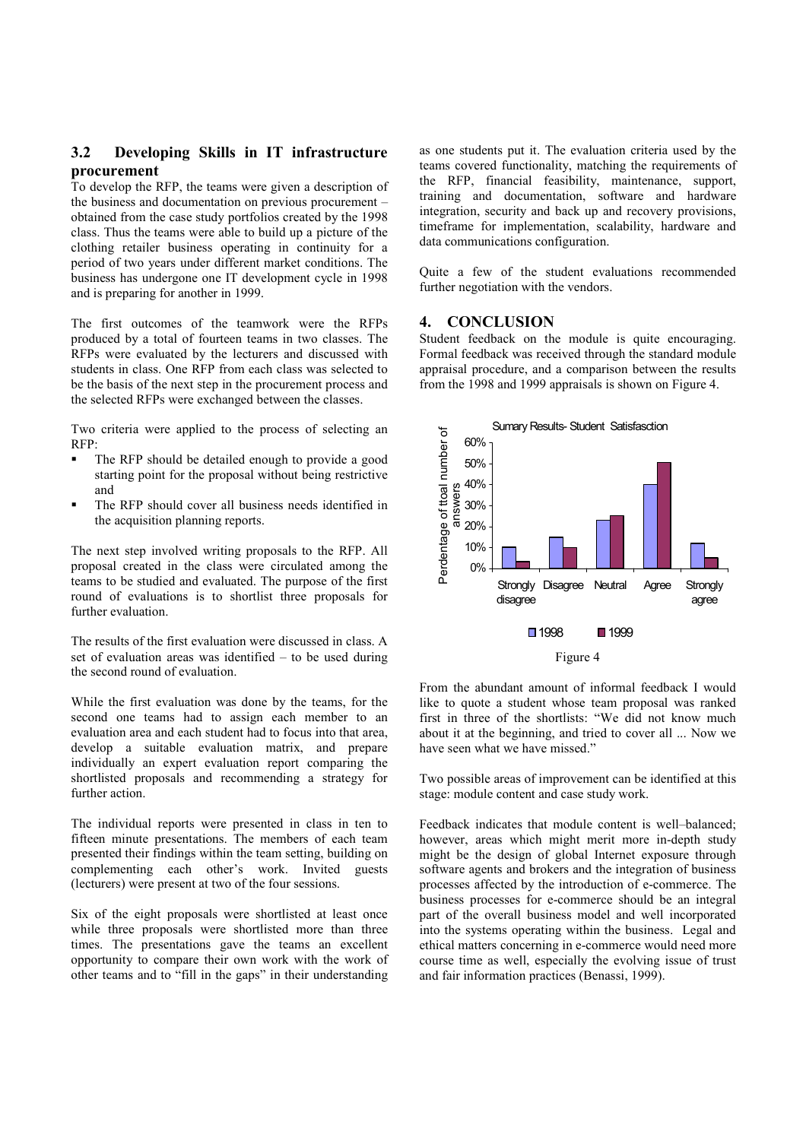# 3.2 Developing Skills in IT infrastructure procurement

To develop the RFP, the teams were given a description of the business and documentation on previous procurement – obtained from the case study portfolios created by the 1998 class. Thus the teams were able to build up a picture of the clothing retailer business operating in continuity for a period of two years under different market conditions. The business has undergone one IT development cycle in 1998 and is preparing for another in 1999.

The first outcomes of the teamwork were the RFPs produced by a total of fourteen teams in two classes. The RFPs were evaluated by the lecturers and discussed with students in class. One RFP from each class was selected to be the basis of the next step in the procurement process and the selected RFPs were exchanged between the classes.

Two criteria were applied to the process of selecting an RFP:

- The RFP should be detailed enough to provide a good starting point for the proposal without being restrictive and
- The RFP should cover all business needs identified in the acquisition planning reports.

The next step involved writing proposals to the RFP. All proposal created in the class were circulated among the teams to be studied and evaluated. The purpose of the first round of evaluations is to shortlist three proposals for further evaluation.

The results of the first evaluation were discussed in class. A set of evaluation areas was identified – to be used during the second round of evaluation.

While the first evaluation was done by the teams, for the second one teams had to assign each member to an evaluation area and each student had to focus into that area, develop a suitable evaluation matrix, and prepare individually an expert evaluation report comparing the shortlisted proposals and recommending a strategy for further action.

The individual reports were presented in class in ten to fifteen minute presentations. The members of each team presented their findings within the team setting, building on complementing each other's work. Invited guests (lecturers) were present at two of the four sessions.

Six of the eight proposals were shortlisted at least once while three proposals were shortlisted more than three times. The presentations gave the teams an excellent opportunity to compare their own work with the work of other teams and to "fill in the gaps" in their understanding

as one students put it. The evaluation criteria used by the teams covered functionality, matching the requirements of the RFP, financial feasibility, maintenance, support, training and documentation, software and hardware integration, security and back up and recovery provisions, timeframe for implementation, scalability, hardware and data communications configuration.

Quite a few of the student evaluations recommended further negotiation with the vendors.

# 4. CONCLUSION

Student feedback on the module is quite encouraging. Formal feedback was received through the standard module appraisal procedure, and a comparison between the results from the 1998 and 1999 appraisals is shown on Figure 4.



Figure 4

From the abundant amount of informal feedback I would like to quote a student whose team proposal was ranked first in three of the shortlists: "We did not know much about it at the beginning, and tried to cover all ... Now we have seen what we have missed."

Two possible areas of improvement can be identified at this stage: module content and case study work.

Feedback indicates that module content is well–balanced; however, areas which might merit more in-depth study might be the design of global Internet exposure through software agents and brokers and the integration of business processes affected by the introduction of e-commerce. The business processes for e-commerce should be an integral part of the overall business model and well incorporated into the systems operating within the business. Legal and ethical matters concerning in e-commerce would need more course time as well, especially the evolving issue of trust and fair information practices (Benassi, 1999).